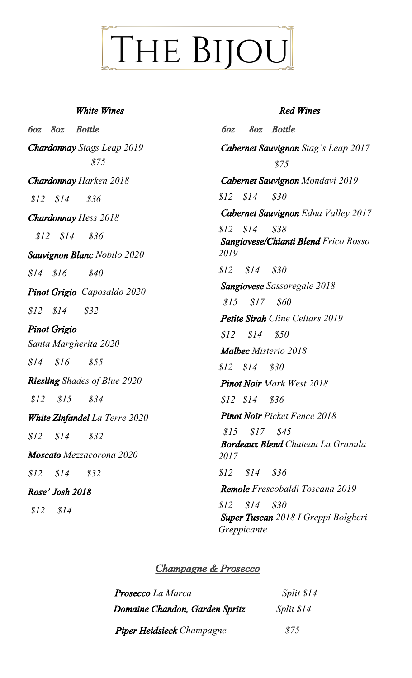# THE BIJOU

#### *White Wines*

*6oz 8oz Bottle Chardonnay Stags Leap 2019 \$75 Chardonnay Harken 2018 \$12 \$14 \$36 Chardonnay Hess 2018 \$12 \$14 \$36 Sauvignon Blanc Nobilo 2020 \$14 \$16 \$40 Pinot Grigio Caposaldo 2020 \$12 \$14 \$32 Pinot Grigio Santa Margherita 2020 \$14 \$16 \$55 Riesling Shades of Blue 2020 \$12 \$15 \$34 White Zinfandel La Terre 2020 \$12 \$14 \$32 Moscato Mezzacorona 2020 \$12 \$14 \$32 Rose' Josh 2018 \$12 \$14*

#### *Red Wines*

*6oz 8oz Bottle Cabernet Sauvignon Stag's Leap 2017 \$75 Cabernet Sauvignon Mondavi 2019 \$12 \$14 \$30 Cabernet Sauvignon Edna Valley 2017 \$12 \$14 \$38 Sangiovese/Chianti Blend Frico Rosso 2019 \$12 \$14 \$30 Sangiovese Sassoregale 2018 \$15 \$17 \$60 Petite Sirah Cline Cellars 2019 \$12 \$14 \$50 Malbec Misterio 2018 \$12 \$14 \$30 Pinot Noir Mark West 2018 \$12 \$14 \$36 Pinot Noir Picket Fence 2018 \$15 \$17 \$45 Bordeaux Blend Chateau La Granula 2017 \$12 \$14 \$36 Remole Frescobaldi Toscana 2019 \$12 \$14 \$30 Super Tuscan 2018 I Greppi Bolgheri Greppicante*

### *Champagne & Prosecco*

| <b>Prosecco</b> La Marca         | Split $$14$ |
|----------------------------------|-------------|
| Domaine Chandon, Garden Spritz   | Split $$14$ |
| <b>Piper Heidsieck Champagne</b> | \$75        |